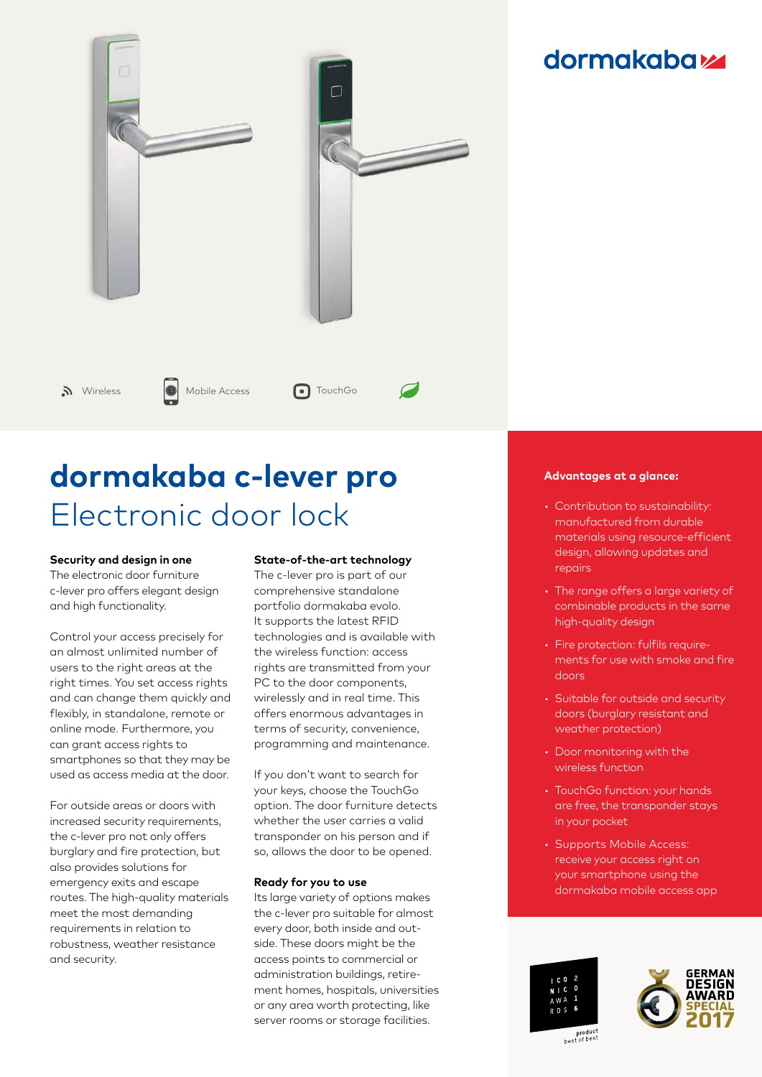

# **dormakaba c-lever pro** Electronic door lock

# **Security and design in one**

The electronic door furniture c-lever pro offers elegant design and high functionality.

Control your access precisely for an almost unlimited number of users to the right areas at the right times. You set access rights and can change them quickly and flexibly, in standalone, remote or online mode. Furthermore, you can grant access rights to smartphones so that they may be used as access media at the door.

For outside areas or doors with increased security requirements, the c-lever pro not only offers burglary and fire protection, but also provides solutions for emergency exits and escape routes. The high-quality materials meet the most demanding requirements in relation to robustness, weather resistance and security.

# **State-of-the-art technology**

The c-lever pro is part of our comprehensive standalone portfolio dormakaba evolo. It supports the latest RFID technologies and is available with the wireless function: access rights are transmitted from your PC to the door components. wirelessly and in real time. This offers enormous advantages in terms of security, convenience, programming and maintenance.

If you don't want to search for your keys, choose the TouchGo option. The door furniture detects whether the user carries a valid transponder on his person and if so, allows the door to be opened.

# **Ready for you to use**

Its large variety of options makes the c-lever pro suitable for almost every door, both inside and outside. These doors might be the access points to commercial or administration buildings, retirement homes, hospitals, universities or any area worth protecting, like server rooms or storage facilities.

# **dormakabazz**

#### **Advantages at a glance:**

- Contribution to sustainability: manufactured from durable materials using resource-efficient design, allowing updates and repairs
- The range offers a large variety of combinable products in the same high-quality design
- Fire protection: fulfils requirements for use with smoke and fire doors
- Suitable for outside and security doors (burglary resistant and weather protection)
- Door monitoring with the wireless function
- TouchGo function: your hands are free, the transponder stays in your pocket
- Supports Mobile Access: receive your access right on your smartphone using the dormakaba mobile access app